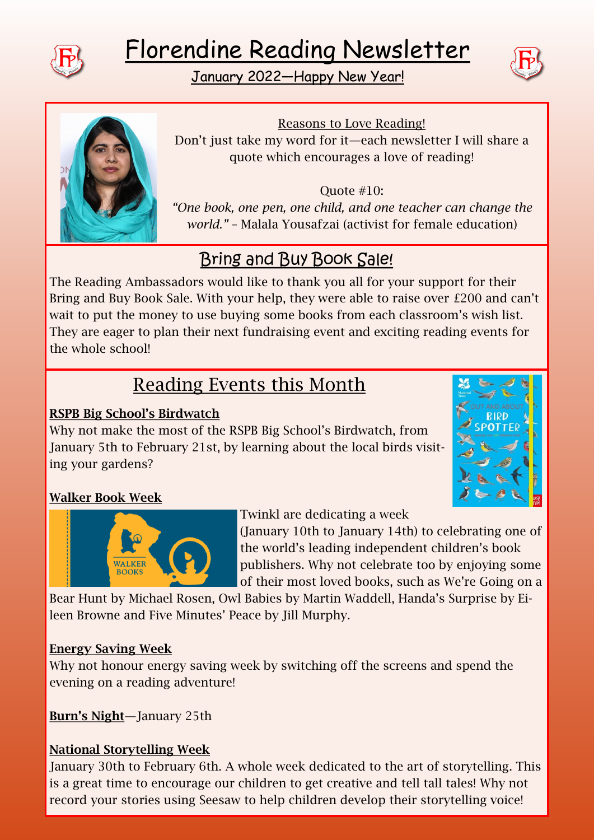





Reasons to Love Reading! Don't just take my word for it—each newsletter I will share a quote which encourages a love of reading!

Quote #10: *"One book, one pen, one child, and one teacher can change the world."* – Malala Yousafzai (activist for female education)

# Bring and Buy Book Sale!

The Reading Ambassadors would like to thank you all for your support for their Bring and Buy Book Sale. With your help, they were able to raise over £200 and can't wait to put the money to use buying some books from each classroom's wish list. They are eager to plan their next fundraising event and exciting reading events for the whole school!

# Reading Events this Month

## RSPB Big School's Birdwatch

Why not make the most of the RSPB Big School's Birdwatch, from January 5th to February 21st, by learning about the local birds visiting your gardens?



## Walker Book Week



Twinkl are dedicating a week

(January 10th to January 14th) to celebrating one of the world's leading independent children's book publishers. Why not celebrate too by enjoying some of their most loved books, such as We're Going on a

Bear Hunt by Michael Rosen, Owl Babies by Martin Waddell, Handa's Surprise by Eileen Browne and Five Minutes' Peace by Jill Murphy.

### Energy Saving Week

Why not honour energy saving week by switching off the screens and spend the evening on a reading adventure!

Burn's Night—January 25th

## National Storytelling Week

January 30th to February 6th. A whole week dedicated to the art of storytelling. This is a great time to encourage our children to get creative and tell tall tales! Why not record your stories using Seesaw to help children develop their storytelling voice!